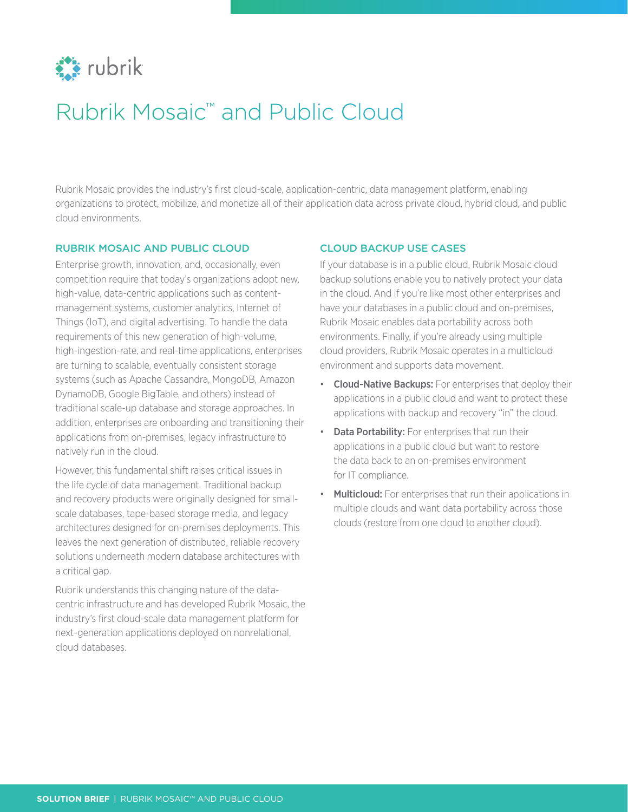

# Rubrik Mosaic™ and Public Cloud

Rubrik Mosaic provides the industry's first cloud-scale, application-centric, data management platform, enabling organizations to protect, mobilize, and monetize all of their application data across private cloud, hybrid cloud, and public cloud environments.

#### RUBRIK MOSAIC AND PUBLIC CLOUD

Enterprise growth, innovation, and, occasionally, even competition require that today's organizations adopt new, high-value, data-centric applications such as contentmanagement systems, customer analytics, Internet of Things (IoT), and digital advertising. To handle the data requirements of this new generation of high-volume, high-ingestion-rate, and real-time applications, enterprises are turning to scalable, eventually consistent storage systems (such as Apache Cassandra, MongoDB, Amazon DynamoDB, Google BigTable, and others) instead of traditional scale-up database and storage approaches. In addition, enterprises are onboarding and transitioning their applications from on-premises, legacy infrastructure to natively run in the cloud.

However, this fundamental shift raises critical issues in the life cycle of data management. Traditional backup and recovery products were originally designed for smallscale databases, tape-based storage media, and legacy architectures designed for on-premises deployments. This leaves the next generation of distributed, reliable recovery solutions underneath modern database architectures with a critical gap.

Rubrik understands this changing nature of the datacentric infrastructure and has developed Rubrik Mosaic, the industry's first cloud-scale data management platform for next-generation applications deployed on nonrelational, cloud databases.

## CLOUD BACKUP USE CASES

If your database is in a public cloud, Rubrik Mosaic cloud backup solutions enable you to natively protect your data in the cloud. And if you're like most other enterprises and have your databases in a public cloud and on-premises, Rubrik Mosaic enables data portability across both environments. Finally, if you're already using multiple cloud providers, Rubrik Mosaic operates in a multicloud environment and supports data movement.

- Cloud-Native Backups: For enterprises that deploy their applications in a public cloud and want to protect these applications with backup and recovery "in" the cloud.
- Data Portability: For enterprises that run their applications in a public cloud but want to restore the data back to an on-premises environment for IT compliance.
- Multicloud: For enterprises that run their applications in multiple clouds and want data portability across those clouds (restore from one cloud to another cloud).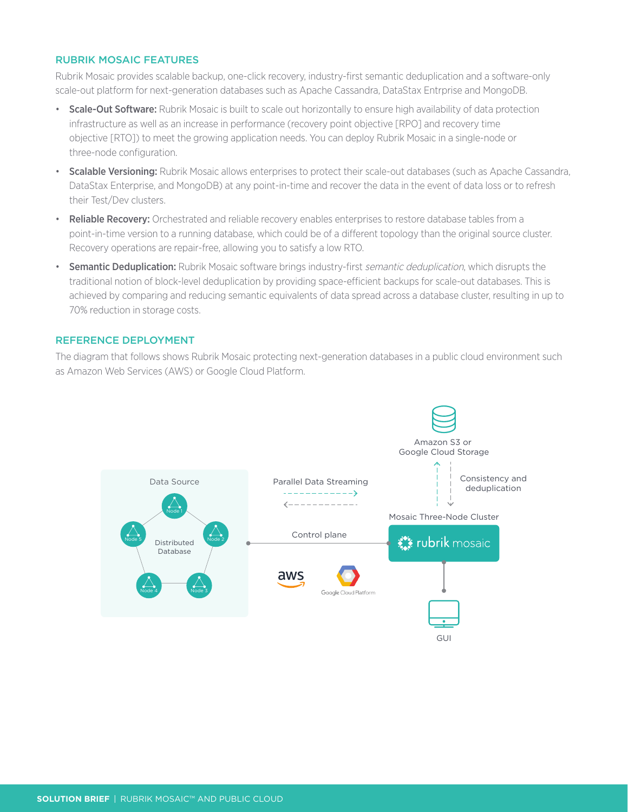#### RUBRIK MOSAIC FEATURES

Rubrik Mosaic provides scalable backup, one-click recovery, industry-first semantic deduplication and a software-only scale-out platform for next-generation databases such as Apache Cassandra, DataStax Entrprise and MongoDB.

- Scale-Out Software: Rubrik Mosaic is built to scale out horizontally to ensure high availability of data protection infrastructure as well as an increase in performance (recovery point objective [RPO] and recovery time objective [RTO]) to meet the growing application needs. You can deploy Rubrik Mosaic in a single-node or three-node configuration.
- Scalable Versioning: Rubrik Mosaic allows enterprises to protect their scale-out databases (such as Apache Cassandra, DataStax Enterprise, and MongoDB) at any point-in-time and recover the data in the event of data loss or to refresh their Test/Dev clusters.
- Reliable Recovery: Orchestrated and reliable recovery enables enterprises to restore database tables from a point-in-time version to a running database, which could be of a different topology than the original source cluster. Recovery operations are repair-free, allowing you to satisfy a low RTO.
- Semantic Deduplication: Rubrik Mosaic software brings industry-first semantic deduplication, which disrupts the traditional notion of block-level deduplication by providing space-efficient backups for scale-out databases. This is achieved by comparing and reducing semantic equivalents of data spread across a database cluster, resulting in up to 70% reduction in storage costs.

## REFERENCE DEPLOYMENT

The diagram that follows shows Rubrik Mosaic protecting next-generation databases in a public cloud environment such as Amazon Web Services (AWS) or Google Cloud Platform.